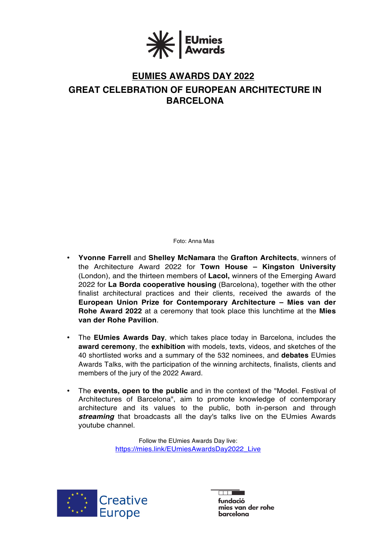

# **EUMIES AWARDS DAY 2022**

# **GREAT CELEBRATION OF EUROPEAN ARCHITECTURE IN BARCELONA**

Foto: Anna Mas

- **Yvonne Farrell** and **Shelley McNamara** the **Grafton Architects**, winners of the Architecture Award 2022 for **Town House – Kingston University**  (London), and the thirteen members of **Lacol,** winners of the Emerging Award 2022 for **La Borda cooperative housing** (Barcelona), together with the other finalist architectural practices and their clients, received the awards of the **European Union Prize for Contemporary Architecture – Mies van der Rohe Award 2022** at a ceremony that took place this lunchtime at the **Mies van der Rohe Pavilion**.
- The **EUmies Awards Day**, which takes place today in Barcelona, includes the **award ceremony**, the **exhibition** with models, texts, videos, and sketches of the 40 shortlisted works and a summary of the 532 nominees, and **debates** EUmies Awards Talks, with the participation of the winning architects, finalists, clients and members of the jury of the 2022 Award.
- The **events, open to the public** and in the context of the "Model. Festival of Architectures of Barcelona", aim to promote knowledge of contemporary architecture and its values to the public, both in-person and through *streaming* that broadcasts all the day's talks live on the EUmies Awards youtube channel.

Follow the EUmies Awards Day live: [https://mies.link/EUmiesAwardsDay2022\\_Live](https://mies.link/EUmiesAwardsDay2022_Live)



 $\overline{\Box\Box}$ fundació mies van der rohe barcelona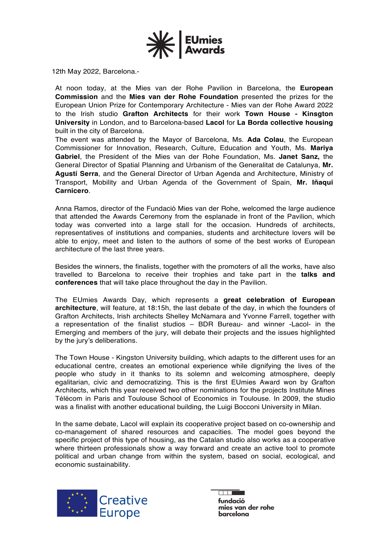

12th May 2022, Barcelona.-

At noon today, at the Mies van der Rohe Pavilion in Barcelona, the **European Commission** and the **Mies van der Rohe Foundation** presented the prizes for the European Union Prize for Contemporary Architecture - Mies van der Rohe Award 2022 to the Irish studio **Grafton Architects** for their work **Town House - Kinsgton University** in London, and to Barcelona-based **Lacol** for **La Borda collective housing** built in the city of Barcelona.

The event was attended by the Mayor of Barcelona, Ms. **Ada Colau**, the European Commissioner for Innovation, Research, Culture, Education and Youth, Ms. **Mariya Gabriel**, the President of the Mies van der Rohe Foundation, Ms. **Janet Sanz,** the General Director of Spatial Planning and Urbanism of the Generalitat de Catalunya, **Mr. Agustí Serra**, and the General Director of Urban Agenda and Architecture, Ministry of Transport, Mobility and Urban Agenda of the Government of Spain, **Mr. Iñaqui Carnicero**.

Anna Ramos, director of the Fundació Mies van der Rohe, welcomed the large audience that attended the Awards Ceremony from the esplanade in front of the Pavilion, which today was converted into a large stall for the occasion. Hundreds of architects, representatives of institutions and companies, students and architecture lovers will be able to enjoy, meet and listen to the authors of some of the best works of European architecture of the last three years.

Besides the winners, the finalists, together with the promoters of all the works, have also travelled to Barcelona to receive their trophies and take part in the **talks and conferences** that will take place throughout the day in the Pavilion.

The EUmies Awards Day, which represents a **great celebration of European architecture**, will feature, at 18:15h, the last debate of the day, in which the founders of Grafton Architects, Irish architects Shelley McNamara and Yvonne Farrell, together with a representation of the finalist studios – BDR Bureau- and winner -Lacol- in the Emerging and members of the jury, will debate their projects and the issues highlighted by the jury's deliberations.

The Town House - Kingston University building, which adapts to the different uses for an educational centre, creates an emotional experience while dignifying the lives of the people who study in it thanks to its solemn and welcoming atmosphere, deeply egalitarian, civic and democratizing. This is the first EUmies Award won by Grafton Architects, which this year received two other nominations for the projects Institute Mines Télécom in Paris and Toulouse School of Economics in Toulouse. In 2009, the studio was a finalist with another educational building, the Luigi Bocconi University in Milan.

In the same debate, Lacol will explain its cooperative project based on co-ownership and co-management of shared resources and capacities. The model goes beyond the specific project of this type of housing, as the Catalan studio also works as a cooperative where thirteen professionals show a way forward and create an active tool to promote political and urban change from within the system, based on social, ecological, and economic sustainability.



 $\overline{\Box\Box\Box}$ fundació mies van der rohe **barcelona**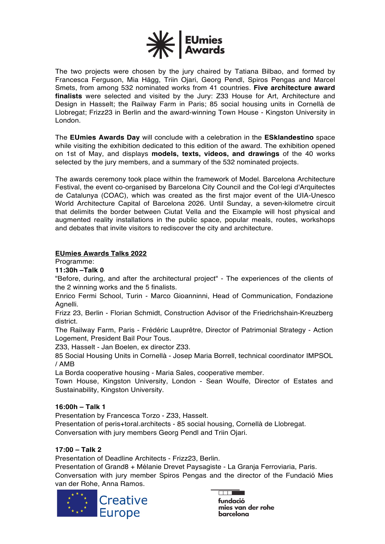

The two projects were chosen by the jury chaired by Tatiana Bilbao, and formed by Francesca Ferguson, Mia Hägg, Triin Ojari, Georg Pendl, Spiros Pengas and Marcel Smets, from among 532 nominated works from 41 countries. **Five architecture award finalists** were selected and visited by the Jury: Z33 House for Art, Architecture and Design in Hasselt; the Railway Farm in Paris; 85 social housing units in Cornellà de Llobregat; Frizz23 in Berlin and the award-winning Town House - Kingston University in London.

The **EUmies Awards Day** will conclude with a celebration in the **ESklandestino** space while visiting the exhibition dedicated to this edition of the award. The exhibition opened on 1st of May, and displays **models, texts, videos, and drawings** of the 40 works selected by the jury members, and a summary of the 532 nominated projects.

The awards ceremony took place within the framework of Model. Barcelona Architecture Festival, the event co-organised by Barcelona City Council and the Col·legi d'Arquitectes de Catalunya (COAC), which was created as the first major event of the UIA-Unesco World Architecture Capital of Barcelona 2026. Until Sunday, a seven-kilometre circuit that delimits the border between Ciutat Vella and the Eixample will host physical and augmented reality installations in the public space, popular meals, routes, workshops and debates that invite visitors to rediscover the city and architecture.

#### **EUmies Awards Talks 2022**

Programme:

**11:30h –Talk 0**

"Before, during, and after the architectural project" - The experiences of the clients of the 2 winning works and the 5 finalists.

Enrico Fermi School, Turin - Marco Gioanninni, Head of Communication, Fondazione Agnelli.

Frizz 23, Berlin - Florian Schmidt, Construction Advisor of the Friedrichshain-Kreuzberg district.

The Railway Farm, Paris - Frédéric Lauprêtre, Director of Patrimonial Strategy - Action Logement, President Bail Pour Tous.

Z33, Hasselt - Jan Boelen, ex director Z33.

85 Social Housing Units in Cornellà - Josep Maria Borrell, technical coordinator IMPSOL / AMB

La Borda cooperative housing - Maria Sales, cooperative member.

Town House, Kingston University, London - Sean Woulfe, Director of Estates and Sustainability, Kingston University.

### **16:00h – Talk 1**

Presentation by Francesca Torzo - Z33, Hasselt. Presentation of peris+toral.architects - 85 social housing, Cornellà de Llobregat. Conversation with jury members Georg Pendl and Triin Ojari.

### **17:00 – Talk 2**

Presentation of Deadline Architects - Frizz23, Berlin.

Presentation of Grand8 + Mélanie Drevet Paysagiste - La Granja Ferroviaria, Paris. Conversation with jury member Spiros Pengas and the director of the Fundació Mies van der Rohe, Anna Ramos.



**COLOR** 

fundació mies van der rohe **barcelona**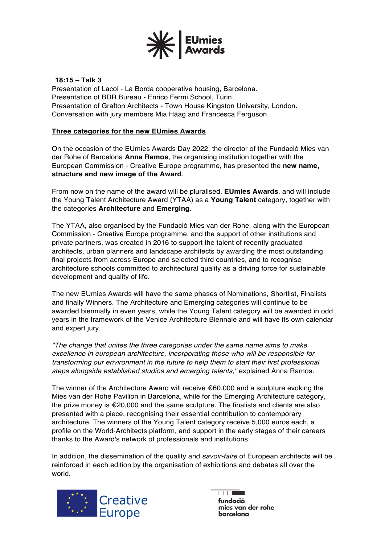

## **18:15 – Talk 3**

Presentation of Lacol - La Borda cooperative housing, Barcelona. Presentation of BDR Bureau - Enrico Fermi School, Turin. Presentation of Grafton Architects - Town House Kingston University, London. Conversation with jury members Mia Häag and Francesca Ferguson.

### **Three categories for the new EUmies Awards**

On the occasion of the EUmies Awards Day 2022, the director of the Fundació Mies van der Rohe of Barcelona **Anna Ramos**, the organising institution together with the European Commission - Creative Europe programme, has presented the **new name, structure and new image of the Award**.

From now on the name of the award will be pluralised, **EUmies Awards**, and will include the Young Talent Architecture Award (YTAA) as a **Young Talent** category, together with the categories **Architecture** and **Emerging**.

The YTAA, also organised by the Fundació Mies van der Rohe, along with the European Commission - Creative Europe programme, and the support of other institutions and private partners, was created in 2016 to support the talent of recently graduated architects, urban planners and landscape architects by awarding the most outstanding final projects from across Europe and selected third countries, and to recognise architecture schools committed to architectural quality as a driving force for sustainable development and quality of life.

The new EUmies Awards will have the same phases of Nominations, Shortlist, Finalists and finally Winners. The Architecture and Emerging categories will continue to be awarded biennially in even years, while the Young Talent category will be awarded in odd years in the framework of the Venice Architecture Biennale and will have its own calendar and expert jury.

*"The change that unites the three categories under the same name aims to make excellence in european architecture, incorporating those who will be responsible for transforming our environment in the future to help them to start their first professional steps alongside established studios and emerging talents,"* explained Anna Ramos.

The winner of the Architecture Award will receive  $\epsilon$ 60,000 and a sculpture evoking the Mies van der Rohe Pavilion in Barcelona, while for the Emerging Architecture category, the prize money is €20,000 and the same sculpture. The finalists and clients are also presented with a piece, recognising their essential contribution to contemporary architecture. The winners of the Young Talent category receive 5,000 euros each, a profile on the World-Architects platform, and support in the early stages of their careers thanks to the Award's network of professionals and institutions.

In addition, the dissemination of the quality and *savoir-faire* of European architects will be reinforced in each edition by the organisation of exhibitions and debates all over the world.



 $\overline{\phantom{a}}$ **fundació** mies van der rohe barcelona